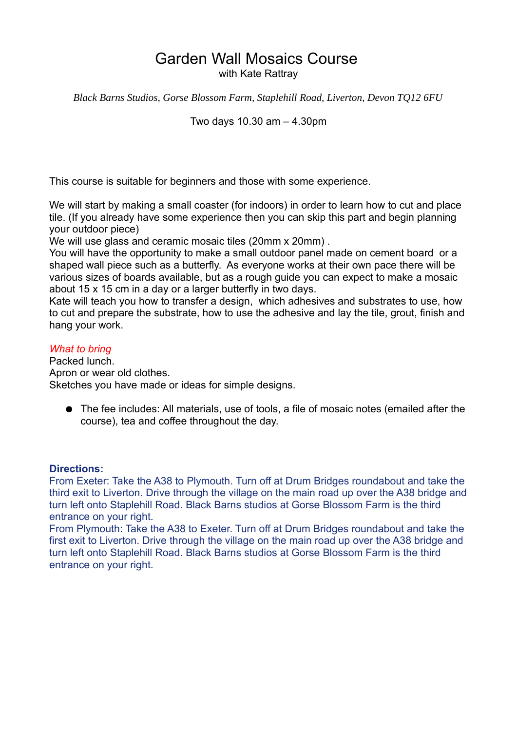# Garden Wall Mosaics Course

with Kate Rattray

*Black Barns Studios, Gorse Blossom Farm, Staplehill Road, Liverton, Devon TQ12 6FU*

Two days 10.30 am – 4.30pm

This course is suitable for beginners and those with some experience.

We will start by making a small coaster (for indoors) in order to learn how to cut and place tile. (If you already have some experience then you can skip this part and begin planning your outdoor piece)

We will use glass and ceramic mosaic tiles (20mm x 20mm).

You will have the opportunity to make a small outdoor panel made on cement board or a shaped wall piece such as a butterfly. As everyone works at their own pace there will be various sizes of boards available, but as a rough guide you can expect to make a mosaic about 15 x 15 cm in a day or a larger butterfly in two days.

Kate will teach you how to transfer a design, which adhesives and substrates to use, how to cut and prepare the substrate, how to use the adhesive and lay the tile, grout, finish and hang your work.

### *What to bring*

Packed lunch. Apron or wear old clothes. Sketches you have made or ideas for simple designs.

● The fee includes: All materials, use of tools, a file of mosaic notes (emailed after the course), tea and coffee throughout the day.

#### **Directions:**

From Exeter: Take the A38 to Plymouth. Turn off at Drum Bridges roundabout and take the third exit to Liverton. Drive through the village on the main road up over the A38 bridge and turn left onto Staplehill Road. Black Barns studios at Gorse Blossom Farm is the third entrance on your right.

From Plymouth: Take the A38 to Exeter. Turn off at Drum Bridges roundabout and take the first exit to Liverton. Drive through the village on the main road up over the A38 bridge and turn left onto Staplehill Road. Black Barns studios at Gorse Blossom Farm is the third entrance on your right.